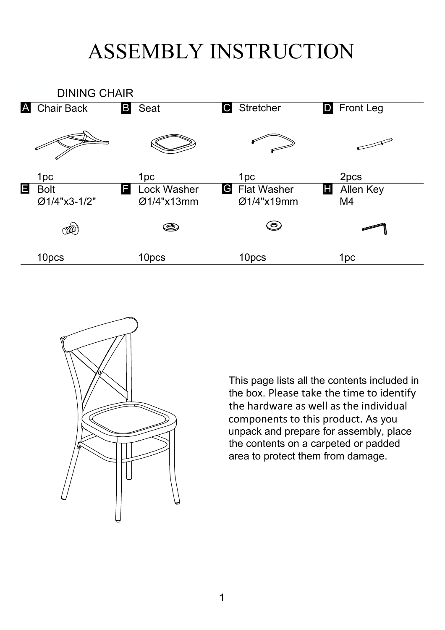## ASSEMBLY INSTRUCTION





This page lists all the contents included in the box. Please take the time to identify the hardware as well as the individual components to this product. As you unpack and prepare for assembly, place the contents on a carpeted or padded area to protect them from damage.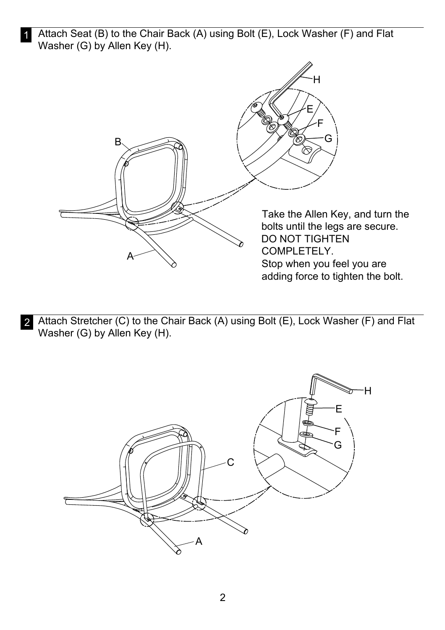1 Attach Seat (B) to the Chair Back (A) using Bolt (E), Lock Washer (F) and Flat Washer (G) by Allen Key (H).



2 Attach Stretcher (C) to the Chair Back (A) using Bolt (E), Lock Washer (F) and Flat Washer (G) by Allen Key (H).